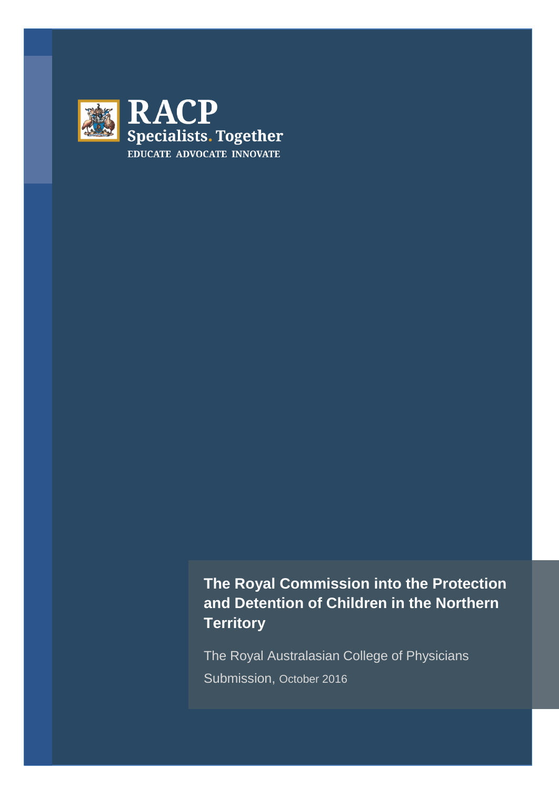

# **The Royal Commission into the Protection and Detention of Children in the Northern Territory**

The Royal Australasian College of Physicians Submission, October 2016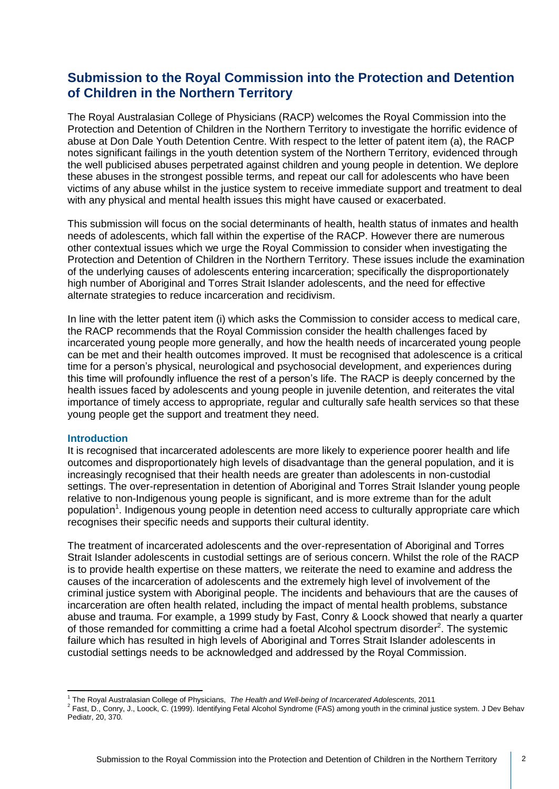## **Submission to the Royal Commission into the Protection and Detention of Children in the Northern Territory**

The Royal Australasian College of Physicians (RACP) welcomes the Royal Commission into the Protection and Detention of Children in the Northern Territory to investigate the horrific evidence of abuse at Don Dale Youth Detention Centre. With respect to the letter of patent item (a), the RACP notes significant failings in the youth detention system of the Northern Territory, evidenced through the well publicised abuses perpetrated against children and young people in detention. We deplore these abuses in the strongest possible terms, and repeat our call for adolescents who have been victims of any abuse whilst in the justice system to receive immediate support and treatment to deal with any physical and mental health issues this might have caused or exacerbated.

This submission will focus on the social determinants of health, health status of inmates and health needs of adolescents, which fall within the expertise of the RACP. However there are numerous other contextual issues which we urge the Royal Commission to consider when investigating the Protection and Detention of Children in the Northern Territory. These issues include the examination of the underlying causes of adolescents entering incarceration; specifically the disproportionately high number of Aboriginal and Torres Strait Islander adolescents, and the need for effective alternate strategies to reduce incarceration and recidivism.

In line with the letter patent item (i) which asks the Commission to consider access to medical care, the RACP recommends that the Royal Commission consider the health challenges faced by incarcerated young people more generally, and how the health needs of incarcerated young people can be met and their health outcomes improved. It must be recognised that adolescence is a critical time for a person's physical, neurological and psychosocial development, and experiences during this time will profoundly influence the rest of a person's life. The RACP is deeply concerned by the health issues faced by adolescents and young people in juvenile detention, and reiterates the vital importance of timely access to appropriate, regular and culturally safe health services so that these young people get the support and treatment they need.

#### **Introduction**

It is recognised that incarcerated adolescents are more likely to experience poorer health and life outcomes and disproportionately high levels of disadvantage than the general population, and it is increasingly recognised that their health needs are greater than adolescents in non-custodial settings. The over-representation in detention of Aboriginal and Torres Strait Islander young people relative to non-Indigenous young people is significant, and is more extreme than for the adult population<sup>1</sup>. Indigenous young people in detention need access to culturally appropriate care which recognises their specific needs and supports their cultural identity.

The treatment of incarcerated adolescents and the over-representation of Aboriginal and Torres Strait Islander adolescents in custodial settings are of serious concern. Whilst the role of the RACP is to provide health expertise on these matters, we reiterate the need to examine and address the causes of the incarceration of adolescents and the extremely high level of involvement of the criminal justice system with Aboriginal people. The incidents and behaviours that are the causes of incarceration are often health related, including the impact of mental health problems, substance abuse and trauma. For example, a 1999 study by Fast, Conry & Loock showed that nearly a quarter of those remanded for committing a crime had a foetal Alcohol spectrum disorder<sup>2</sup>. The systemic failure which has resulted in high levels of Aboriginal and Torres Strait Islander adolescents in custodial settings needs to be acknowledged and addressed by the Royal Commission.

<sup>&</sup>lt;u>.</u> <sup>1</sup> The Royal Australasian College of Physicians, The Health and Well-being of Incarcerated Adolescents, 2011

<sup>&</sup>lt;sup>2</sup> Fast, D., Conry, J., Loock, C. (1999). Identifying Fetal Alcohol Syndrome (FAS) among youth in the criminal justice system. J Dev Behav Pediatr, 20, 370.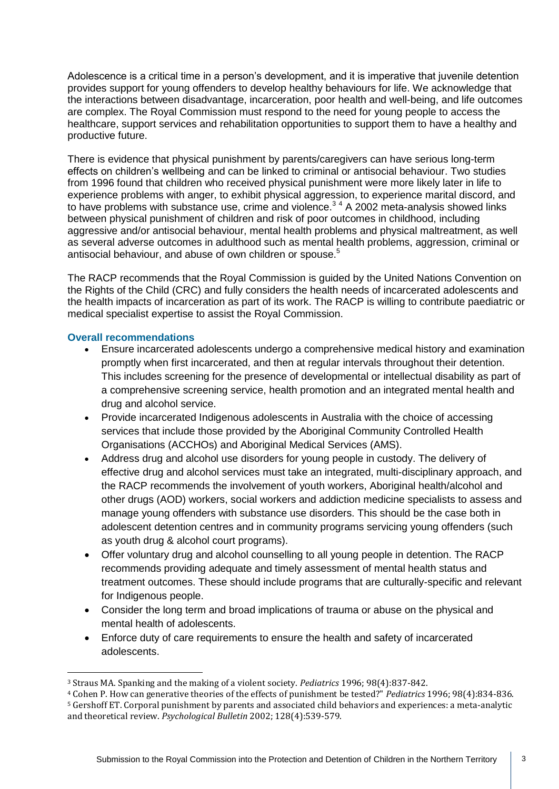Adolescence is a critical time in a person's development, and it is imperative that juvenile detention provides support for young offenders to develop healthy behaviours for life. We acknowledge that the interactions between disadvantage, incarceration, poor health and well-being, and life outcomes are complex. The Royal Commission must respond to the need for young people to access the healthcare, support services and rehabilitation opportunities to support them to have a healthy and productive future.

There is evidence that physical punishment by parents/caregivers can have serious long-term effects on children's wellbeing and can be linked to criminal or antisocial behaviour. Two studies from 1996 found that children who received physical punishment were more likely later in life to experience problems with anger, to exhibit physical aggression, to experience marital discord, and to have problems with substance use, crime and violence. $3<sup>4</sup>$  A 2002 meta-analysis showed links between physical punishment of children and risk of poor outcomes in childhood, including aggressive and/or antisocial behaviour, mental health problems and physical maltreatment, as well as several adverse outcomes in adulthood such as mental health problems, aggression, criminal or antisocial behaviour, and abuse of own children or spouse.<sup>5</sup>

The RACP recommends that the Royal Commission is guided by the United Nations Convention on the Rights of the Child (CRC) and fully considers the health needs of incarcerated adolescents and the health impacts of incarceration as part of its work. The RACP is willing to contribute paediatric or medical specialist expertise to assist the Royal Commission.

### **Overall recommendations**

<u>.</u>

- Ensure incarcerated adolescents undergo a comprehensive medical history and examination promptly when first incarcerated, and then at regular intervals throughout their detention. This includes screening for the presence of developmental or intellectual disability as part of a comprehensive screening service, health promotion and an integrated mental health and drug and alcohol service.
- Provide incarcerated Indigenous adolescents in Australia with the choice of accessing services that include those provided by the Aboriginal Community Controlled Health Organisations (ACCHOs) and Aboriginal Medical Services (AMS).
- Address drug and alcohol use disorders for young people in custody. The delivery of effective drug and alcohol services must take an integrated, multi-disciplinary approach, and the RACP recommends the involvement of youth workers, Aboriginal health/alcohol and other drugs (AOD) workers, social workers and addiction medicine specialists to assess and manage young offenders with substance use disorders. This should be the case both in adolescent detention centres and in community programs servicing young offenders (such as youth drug & alcohol court programs).
- Offer voluntary drug and alcohol counselling to all young people in detention. The RACP recommends providing adequate and timely assessment of mental health status and treatment outcomes. These should include programs that are culturally-specific and relevant for Indigenous people.
- Consider the long term and broad implications of trauma or abuse on the physical and mental health of adolescents.
- Enforce duty of care requirements to ensure the health and safety of incarcerated adolescents.

<sup>3</sup> Straus MA. Spanking and the making of a violent society. *Pediatrics* 1996; 98(4):837-842.

<sup>4</sup> Cohen P. How can generative theories of the effects of punishment be tested?" *Pediatrics* 1996; 98(4):834-836. <sup>5</sup> Gershoff ET. Corporal punishment by parents and associated child behaviors and experiences: a meta-analytic and theoretical review. *Psychological Bulletin* 2002; 128(4):539-579.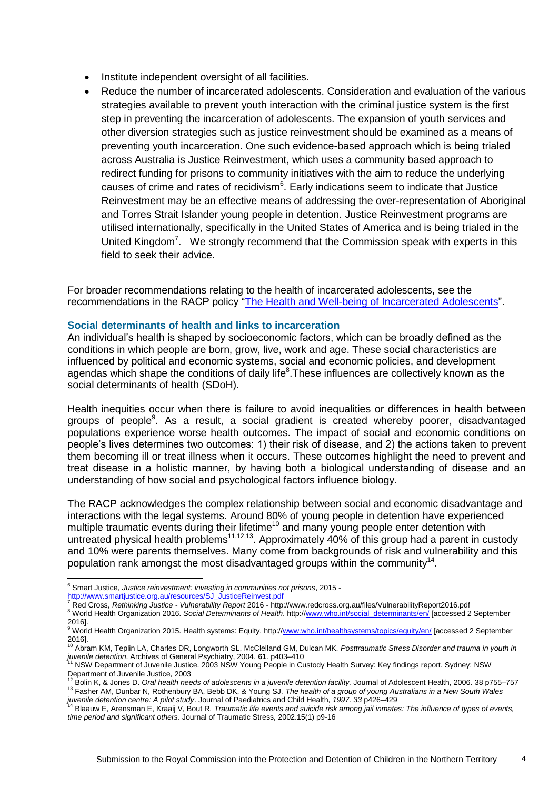- Institute independent oversight of all facilities.
- Reduce the number of incarcerated adolescents. Consideration and evaluation of the various strategies available to prevent youth interaction with the criminal justice system is the first step in preventing the incarceration of adolescents. The expansion of youth services and other diversion strategies such as justice reinvestment should be examined as a means of preventing youth incarceration. One such evidence-based approach which is being trialed across Australia is Justice Reinvestment, which uses a community based approach to redirect funding for prisons to community initiatives with the aim to reduce the underlying causes of crime and rates of recidivism<sup>6</sup>. Early indications seem to indicate that Justice Reinvestment may be an effective means of addressing the over-representation of Aboriginal and Torres Strait Islander young people in detention. Justice Reinvestment programs are utilised internationally, specifically in the United States of America and is being trialed in the United Kingdom<sup>7</sup>. We strongly recommend that the Commission speak with experts in this field to seek their advice.

For broader recommendations relating to the health of incarcerated adolescents, see the recommendations in the RACP policy ["The Health and Well-being of Incarcerated Adolescents"](https://www.racp.edu.au/docs/default-source/advocacy-library/the-health-and-wellbeing-on-incarcerated-adolescents.pdf).

#### **Social determinants of health and links to incarceration**

An individual's health is shaped by socioeconomic factors, which can be broadly defined as the conditions in which people are born, grow, live, work and age. These social characteristics are influenced by political and economic systems, social and economic policies, and development agendas which shape the conditions of daily life<sup>8</sup>. These influences are collectively known as the social determinants of health (SDoH).

Health inequities occur when there is failure to avoid inequalities or differences in health between groups of people<sup>9</sup>. As a result, a social gradient is created whereby poorer, disadvantaged populations experience worse health outcomes. The impact of social and economic conditions on people's lives determines two outcomes: 1) their risk of disease, and 2) the actions taken to prevent them becoming ill or treat illness when it occurs. These outcomes highlight the need to prevent and treat disease in a holistic manner, by having both a biological understanding of disease and an understanding of how social and psychological factors influence biology.

The RACP acknowledges the complex relationship between social and economic disadvantage and interactions with the legal systems. Around 80% of young people in detention have experienced multiple traumatic events during their lifetime<sup>10</sup> and many young people enter detention with untreated physical health problems<sup>11,12,13</sup>. Approximately 40% of this group had a parent in custody and 10% were parents themselves. Many come from backgrounds of risk and vulnerability and this population rank amongst the most disadvantaged groups within the community<sup>14</sup>.

<u>.</u>

<sup>7</sup> Red Cross, *Rethinking Justice - Vulnerability Report* 2016 - http://www.redcross.org.au/files/VulnerabilityReport2016.pdf 8 World Health Organization 2016. Social Determinants of Health. http:[//www.who.int/social\\_determinants/en/](http://www.who.int/social_determinants/en/) [accessed 2 September

<sup>6</sup> Smart Justice, *Justice reinvestment: investing in communities not prisons*, 2015 -

[http://www.smartjustice.org.au/resources/SJ\\_JusticeReinvest.pdf](http://www.smartjustice.org.au/resources/SJ_JusticeReinvest.pdf)<br>7. Red Crees - Rethinking, Justice - Vulnerability Report 2016 - bttp:

<sup>2016].&</sup>lt;br><sup>9</sup> World Health Organization 2015. Health systems: Equity. http://<u>www.who.int/healthsystems/topics/equity/en/ [</u>accessed 2 September

<sup>2016].</sup> <sup>10</sup> Abram KM, Teplin LA, Charles DR, Longworth SL, McClelland GM, Dulcan MK. *Posttraumatic Stress Disorder and trauma in youth in* 

*juvenile detention*. Archives of General Psychiatry, 2004. **61**. p403–410 <sup>11</sup> NSW Department of Juvenile Justice. 2003 NSW Young People in Custody Health Survey: Key findings report. Sydney: NSW

Department of Juvenile Justice, 2003

<sup>&</sup>lt;sup>12</sup> Bolin K, & Jones D. *Oral health needs of adolescents in a juvenile detention facility.* Journal of Adolescent Health, 2006. 38 p755–757 <sup>13</sup> Fasher AM, Dunbar N, Rothenbury BA, Bebb DK, & Young SJ. *The health of a group of young Australians in a New South Wales* 

juvenile detention centre: A pilot study. Journal of Paediatrics and Child Health, 1997. 33 p426–429<br><sup>14</sup> Blaauw E, Arensman E, Kraaij V, Bout R. *Traumatic life events and suicide risk among jail inmates: The influence of time period and significant others*. Journal of Traumatic Stress*,* 2002.15(1) p9-16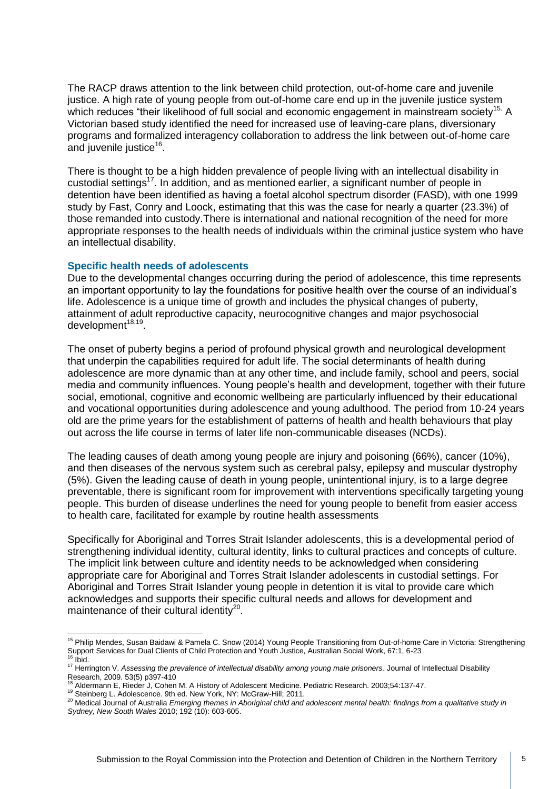The RACP draws attention to the link between child protection, out-of-home care and juvenile justice. A high rate of young people from out-of-home care end up in the juvenile justice system which reduces "their likelihood of full social and economic engagement in mainstream society<sup>15.</sup> A Victorian based study identified the need for increased use of leaving-care plans, diversionary programs and formalized interagency collaboration to address the link between out-of-home care and juvenile justice<sup>16</sup>.

There is thought to be a high hidden prevalence of people living with an intellectual disability in custodial settings<sup>17</sup>. In addition, and as mentioned earlier, a significant number of people in detention have been identified as having a foetal alcohol spectrum disorder (FASD), with one 1999 study by Fast, Conry and Loock, estimating that this was the case for nearly a quarter (23.3%) of those remanded into custody.There is international and national recognition of the need for more appropriate responses to the health needs of individuals within the criminal justice system who have an intellectual disability.

#### **Specific health needs of adolescents**

Due to the developmental changes occurring during the period of adolescence, this time represents an important opportunity to lay the foundations for positive health over the course of an individual's life. Adolescence is a unique time of growth and includes the physical changes of puberty, attainment of adult reproductive capacity, neurocognitive changes and major psychosocial development<sup>18,19</sup>.

The onset of puberty begins a period of profound physical growth and neurological development that underpin the capabilities required for adult life. The social determinants of health during adolescence are more dynamic than at any other time, and include family, school and peers, social media and community influences. Young people's health and development, together with their future social, emotional, cognitive and economic wellbeing are particularly influenced by their educational and vocational opportunities during adolescence and young adulthood. The period from 10-24 years old are the prime years for the establishment of patterns of health and health behaviours that play out across the life course in terms of later life non-communicable diseases (NCDs).

The leading causes of death among young people are injury and poisoning (66%), cancer (10%), and then diseases of the nervous system such as cerebral palsy, epilepsy and muscular dystrophy (5%). Given the leading cause of death in young people, unintentional injury, is to a large degree preventable, there is significant room for improvement with interventions specifically targeting young people. This burden of disease underlines the need for young people to benefit from easier access to health care, facilitated for example by routine health assessments

Specifically for Aboriginal and Torres Strait Islander adolescents, this is a developmental period of strengthening individual identity, cultural identity, links to cultural practices and concepts of culture. The implicit link between culture and identity needs to be acknowledged when considering appropriate care for Aboriginal and Torres Strait Islander adolescents in custodial settings. For Aboriginal and Torres Strait Islander young people in detention it is vital to provide care which acknowledges and supports their specific cultural needs and allows for development and maintenance of their cultural identity<sup>20</sup>.

<u>.</u>

<sup>&</sup>lt;sup>15</sup> Philip Mendes, Susan Baidawi & Pamela C. Snow (2014) Young People Transitioning from Out-of-home Care in Victoria: Strengthening Support Services for Dual Clients of Child Protection and Youth Justice, Australian Social Work, 67:1, 6-23 <sup>16</sup> Ibid.

<sup>&</sup>lt;sup>17</sup> Herrington V. Assessing the prevalence of intellectual disability among young male prisoners. Journal of Intellectual Disability Research, 2009. 53(5) p397-410

<sup>18</sup> Aldermann E, Rieder J, Cohen M. A History of Adolescent Medicine. Pediatric Research. 2003;54:137-47.

<sup>19</sup> Steinberg L. Adolescence. 9th ed. New York, NY: McGraw-Hill; 2011.

<sup>20</sup> Medical Journal of Australia *Emerging themes in Aboriginal child and adolescent mental health: findings from a qualitative study in Sydney, New South Wales* 2010; 192 (10): 603-605.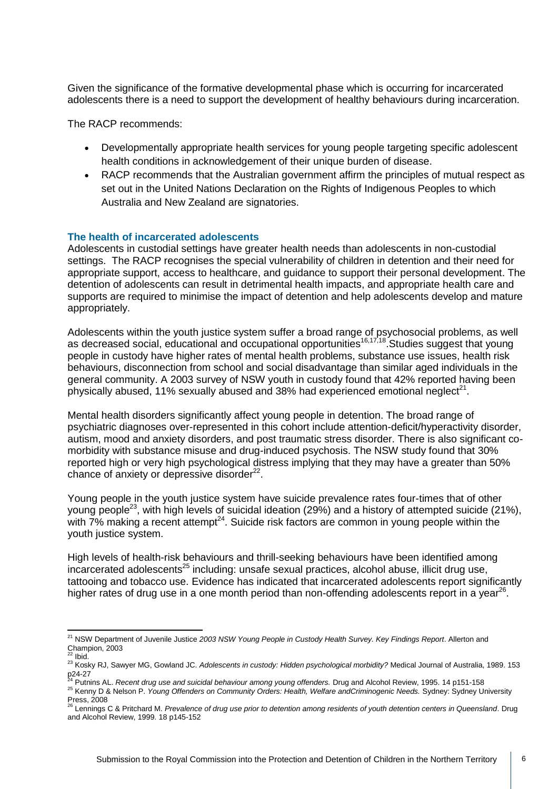Given the significance of the formative developmental phase which is occurring for incarcerated adolescents there is a need to support the development of healthy behaviours during incarceration.

The RACP recommends:

- Developmentally appropriate health services for young people targeting specific adolescent health conditions in acknowledgement of their unique burden of disease.
- RACP recommends that the Australian government affirm the principles of mutual respect as set out in the United Nations Declaration on the Rights of Indigenous Peoples to which Australia and New Zealand are signatories.

#### **The health of incarcerated adolescents**

Adolescents in custodial settings have greater health needs than adolescents in non-custodial settings. The RACP recognises the special vulnerability of children in detention and their need for appropriate support, access to healthcare, and guidance to support their personal development. The detention of adolescents can result in detrimental health impacts, and appropriate health care and supports are required to minimise the impact of detention and help adolescents develop and mature appropriately.

Adolescents within the youth justice system suffer a broad range of psychosocial problems, as well as decreased social, educational and occupational opportunities<sup>16,17,18</sup>. Studies suggest that young people in custody have higher rates of mental health problems, substance use issues, health risk behaviours, disconnection from school and social disadvantage than similar aged individuals in the general community. A 2003 survey of NSW youth in custody found that 42% reported having been physically abused, 11% sexually abused and 38% had experienced emotional neglect<sup>21</sup>.

Mental health disorders significantly affect young people in detention. The broad range of psychiatric diagnoses over-represented in this cohort include attention-deficit/hyperactivity disorder, autism, mood and anxiety disorders, and post traumatic stress disorder. There is also significant comorbidity with substance misuse and drug-induced psychosis. The NSW study found that 30% reported high or very high psychological distress implying that they may have a greater than 50% chance of anxiety or depressive disorder<sup>22</sup>.

Young people in the youth justice system have suicide prevalence rates four-times that of other young people<sup>23</sup>, with high levels of suicidal ideation (29%) and a history of attempted suicide (21%), with  $7\%$  making a recent attempt<sup>24</sup>. Suicide risk factors are common in young people within the youth justice system.

High levels of health-risk behaviours and thrill-seeking behaviours have been identified among incarcerated adolescents $25$  including: unsafe sexual practices, alcohol abuse, illicit drug use, tattooing and tobacco use. Evidence has indicated that incarcerated adolescents report significantly higher rates of drug use in a one month period than non-offending adolescents report in a year<sup>26</sup>.

p24-27<br><sup>24</sup> Putnins AL. *Recent drug use and suicidal behaviour among young offenders. Drug and Alcohol Review, 1995. 14 p151-158* 

<sup>&</sup>lt;u>.</u> <sup>21</sup> NSW Department of Juvenile Justice *2003 NSW Young People in Custody Health Survey. Key Findings Report*. Allerton and Champion, 2003

 $2$  Ibid.

<sup>23</sup> Kosky RJ, Sawyer MG, Gowland JC. *Adolescents in custody: Hidden psychological morbidity?* Medical Journal of Australia, 1989. 153

<sup>25</sup> Kenny D & Nelson P. *Young Offenders on Community Orders: Health, Welfare andCriminogenic Needs.* Sydney: Sydney University Press, 2008 <sup>26</sup> Lennings C & Pritchard M. *Prevalence of drug use prior to detention among residents of youth detention centers in Queensland*. Drug

and Alcohol Review, 1999. 18 p145-152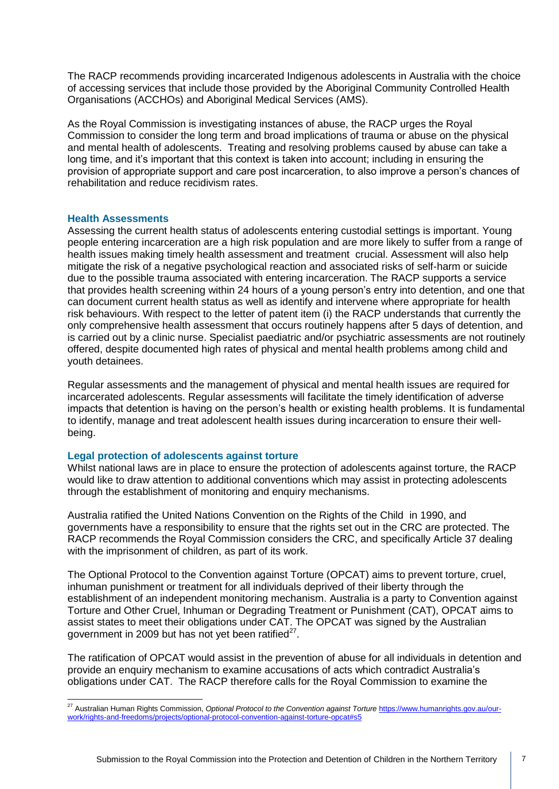The RACP recommends providing incarcerated Indigenous adolescents in Australia with the choice of accessing services that include those provided by the Aboriginal Community Controlled Health Organisations (ACCHOs) and Aboriginal Medical Services (AMS).

As the Royal Commission is investigating instances of abuse, the RACP urges the Royal Commission to consider the long term and broad implications of trauma or abuse on the physical and mental health of adolescents. Treating and resolving problems caused by abuse can take a long time, and it's important that this context is taken into account; including in ensuring the provision of appropriate support and care post incarceration, to also improve a person's chances of rehabilitation and reduce recidivism rates.

#### **Health Assessments**

Assessing the current health status of adolescents entering custodial settings is important. Young people entering incarceration are a high risk population and are more likely to suffer from a range of health issues making timely health assessment and treatment crucial. Assessment will also help mitigate the risk of a negative psychological reaction and associated risks of self-harm or suicide due to the possible trauma associated with entering incarceration. The RACP supports a service that provides health screening within 24 hours of a young person's entry into detention, and one that can document current health status as well as identify and intervene where appropriate for health risk behaviours. With respect to the letter of patent item (i) the RACP understands that currently the only comprehensive health assessment that occurs routinely happens after 5 days of detention, and is carried out by a clinic nurse. Specialist paediatric and/or psychiatric assessments are not routinely offered, despite documented high rates of physical and mental health problems among child and youth detainees.

Regular assessments and the management of physical and mental health issues are required for incarcerated adolescents. Regular assessments will facilitate the timely identification of adverse impacts that detention is having on the person's health or existing health problems. It is fundamental to identify, manage and treat adolescent health issues during incarceration to ensure their wellbeing.

#### **Legal protection of adolescents against torture**

Whilst national laws are in place to ensure the protection of adolescents against torture, the RACP would like to draw attention to additional conventions which may assist in protecting adolescents through the establishment of monitoring and enquiry mechanisms.

Australia ratified the United Nations Convention on the Rights of the Child in 1990, and governments have a responsibility to ensure that the rights set out in the CRC are protected. The RACP recommends the Royal Commission considers the CRC, and specifically Article 37 dealing with the imprisonment of children, as part of its work.

The Optional Protocol to the Convention against Torture (OPCAT) aims to prevent torture, cruel, inhuman punishment or treatment for all individuals deprived of their liberty through the establishment of an independent monitoring mechanism. Australia is a party to [Convention against](http://www.ohchr.org/EN/ProfessionalInterest/Pages/CAT.aspx)  [Torture and Other Cruel, Inhuman or Degrading Treatment or Punishment](http://www.ohchr.org/EN/ProfessionalInterest/Pages/CAT.aspx) (CAT), OPCAT aims to assist states to meet their obligations under CAT. The OPCAT was signed by the Australian government in 2009 but has not yet been ratified $^{27}$ .

The ratification of OPCAT would assist in the prevention of abuse for all individuals in detention and provide an enquiry mechanism to examine accusations of acts which contradict Australia's obligations under CAT. The RACP therefore calls for the Royal Commission to examine the

<sup>&</sup>lt;u>.</u> <sup>27</sup> Australian Human Rights Commission, *Optional Protocol to the Convention against Torture* [https://www.humanrights.gov.au/our](https://www.humanrights.gov.au/our-work/rights-and-freedoms/projects/optional-protocol-convention-against-torture-opcat#s5)[work/rights-and-freedoms/projects/optional-protocol-convention-against-torture-opcat#s5](https://www.humanrights.gov.au/our-work/rights-and-freedoms/projects/optional-protocol-convention-against-torture-opcat#s5)